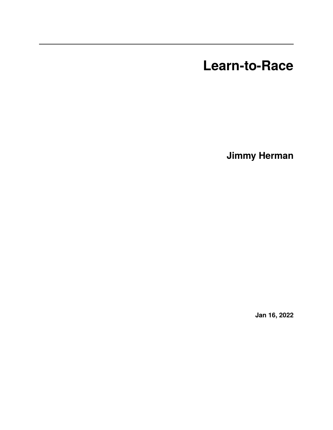**Learn-to-Race**

**Jimmy Herman**

**Jan 16, 2022**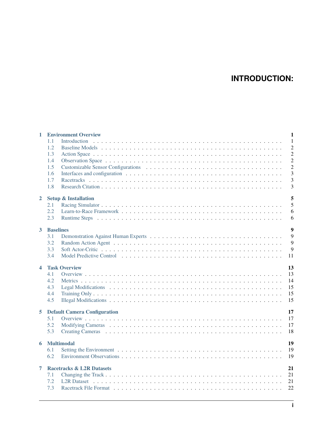# **INTRODUCTION:**

| $\mathbf{1}$     | <b>Environment Overview</b><br>$\mathbf{1}$ |                |  |  |  |  |
|------------------|---------------------------------------------|----------------|--|--|--|--|
|                  | 1.1                                         | $\overline{1}$ |  |  |  |  |
|                  | 1.2                                         | $\overline{2}$ |  |  |  |  |
|                  | 1.3                                         | $\overline{2}$ |  |  |  |  |
|                  | 1.4                                         | $\overline{2}$ |  |  |  |  |
|                  | 1.5                                         | $\overline{c}$ |  |  |  |  |
|                  | 1.6                                         | 3              |  |  |  |  |
|                  | 1.7                                         | $\overline{3}$ |  |  |  |  |
|                  | 1.8                                         | 3              |  |  |  |  |
| $\overline{2}$   | 5<br><b>Setup &amp; Installation</b>        |                |  |  |  |  |
|                  | 2.1                                         | 5              |  |  |  |  |
|                  | 2.2                                         | 6              |  |  |  |  |
|                  | 2.3                                         | 6              |  |  |  |  |
| $3^{\circ}$      | $\overline{9}$<br><b>Baselines</b>          |                |  |  |  |  |
|                  | 3.1                                         | 9              |  |  |  |  |
|                  | 3.2                                         | 9              |  |  |  |  |
|                  | 3.3                                         | 9              |  |  |  |  |
|                  | 3.4                                         | 11             |  |  |  |  |
| $\blacktriangle$ | <b>Task Overview</b><br>13                  |                |  |  |  |  |
|                  | 4.1                                         | 13             |  |  |  |  |
|                  | 4.2                                         | 14             |  |  |  |  |
|                  | 4.3                                         | 15             |  |  |  |  |
|                  | 4.4                                         | 15             |  |  |  |  |
|                  | 4.5                                         | 15             |  |  |  |  |
| 5                | 17<br><b>Default Camera Configuration</b>   |                |  |  |  |  |
|                  | 5.1                                         | 17             |  |  |  |  |
|                  | 5.2                                         | 17             |  |  |  |  |
|                  | 5.3                                         | 18             |  |  |  |  |
| 6                | 19<br><b>Multimodal</b>                     |                |  |  |  |  |
|                  | 6.1                                         | 19             |  |  |  |  |
|                  | 6.2                                         | 19             |  |  |  |  |
| 7                | 21<br><b>Racetracks &amp; L2R Datasets</b>  |                |  |  |  |  |
|                  | 7.1                                         | 21             |  |  |  |  |
|                  | 7.2                                         | 21             |  |  |  |  |
|                  |                                             | 22             |  |  |  |  |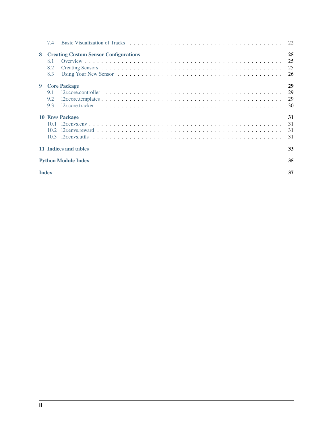|                             | 7.4                        |                                              |                      |  |  |  |  |
|-----------------------------|----------------------------|----------------------------------------------|----------------------|--|--|--|--|
| 8                           | 8.1<br>8.2<br>8.3          | <b>Creating Custom Sensor Configurations</b> | 25<br>25<br>25<br>26 |  |  |  |  |
| 9                           | 9.1<br>9.2<br>9.3          | <b>Core Package</b>                          | 29<br>29<br>29<br>30 |  |  |  |  |
|                             |                            | <b>10 Envs Package</b>                       | 31<br>31<br>31<br>31 |  |  |  |  |
| 11 Indices and tables<br>33 |                            |                                              |                      |  |  |  |  |
|                             | <b>Python Module Index</b> |                                              |                      |  |  |  |  |
| <b>Index</b>                |                            |                                              |                      |  |  |  |  |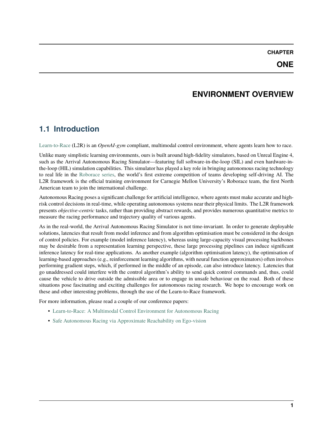# **ENVIRONMENT OVERVIEW**

# <span id="page-4-1"></span><span id="page-4-0"></span>**1.1 Introduction**

[Learn-to-Race](https://learn-to-race.org) (L2R) is an *OpenAI-gym* compliant, multimodal control environment, where agents learn how to race.

Unlike many simplistic learning environments, ours is built around high-fidelity simulators, based on Unreal Engine 4, such as the Arrival Autonomous Racing Simulator—featuring full software-in-the-loop (SIL) and even hardware-inthe-loop (HIL) simulation capabilities. This simulator has played a key role in bringing autonomous racing technology to real life in the [Roborace series,](https://roborace.com/) the world's first extreme competition of teams developing self-driving AI. The L2R framework is the official training environment for Carnegie Mellon University's Roborace team, the first North American team to join the international challenge.

Autonomous Racing poses a significant challenge for artificial intelligence, where agents must make accurate and highrisk control decisions in real-time, while operating autonomous systems near their physical limits. The L2R framework presents *objective-centric* tasks, rather than providing abstract rewards, and provides numerous quantitative metrics to measure the racing performance and trajectory quality of various agents.

As in the real-world, the Arrival Autonomous Racing Simulator is not time-invariant. In order to generate deployable solutions, latencies that result from model inference and from algorithm optimisation must be considered in the design of control policies. For example (model inference latency), whereas using large-capacity visual processing backbones may be desirable from a representation learning perspective, these large processing pipelines can induce significant inference latency for real-time applications. As another example (algorithm optimisation latency), the optimisation of learning-based approaches (e.g., reinforcement learning algorithms, with neural function approximators) often involves performing gradient steps, which, if performed in the middle of an episode, can also introduce latency. Latencies that go unaddressed could interfere with the control algorithm's ability to send quick control commands and, thus, could cause the vehicle to drive outside the admissible area or to engage in unsafe behaviour on the road. Both of these situations pose fascinating and exciting challenges for autonomous racing research. We hope to encourage work on these and other interesting problems, through the use of the Learn-to-Race framework.

For more information, please read a couple of our conference papers:

- [Learn-to-Race: A Multimodal Control Environment for Autonomous Racing](https://arxiv.org/abs/2103.11575)
- [Safe Autonomous Racing via Approximate Reachability on Ego-vision](https://arxiv.org/abs/2110.07699)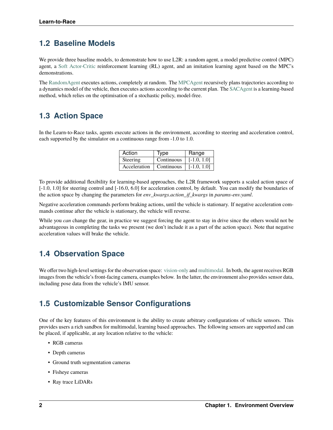## <span id="page-5-0"></span>**1.2 Baseline Models**

We provide three baseline models, to demonstrate how to use L2R: a random agent, a model predictive control (MPC) agent, a [Soft Actor-Critic](https://arxiv.org/abs/1801.01290v1) reinforcement learning (RL) agent, and an imitation learning agent based on the MPC's demonstrations.

The [RandomAgent](getting_started.html#basic-example) executes actions, completely at random. The [MPCAgent](getting_started.html#basic-example) recursively plans trajectories according to a dynamics model of the vehicle, then executes actions according to the current plan. The [SACAgent](getting_started.html#basic-example) is a learning-based method, which relies on the optimisation of a stochastic policy, model-free.

# <span id="page-5-1"></span>**1.3 Action Space**

In the Learn-to-Race tasks, agents execute actions in the environment, according to steering and acceleration control, each supported by the simulator on a continuous range from -1.0 to 1.0.

| Action       | Type              | Range         |
|--------------|-------------------|---------------|
| Steering     | Continuous        | $[-1.0, 1.0]$ |
| Acceleration | $\mid$ Continuous | $[-1.0, 1.0]$ |

To provide additional flexibility for learning-based approaches, the L2R framework supports a scaled action space of [-1.0, 1.0] for steering control and [-16.0, 6.0] for acceleration control, by default. You can modify the boundaries of the action space by changing the parameters for *env\_kwargs.action\_if\_kwargs* in *params-env.yaml*.

Negative acceleration commands perform braking actions, until the vehicle is stationary. If negative acceleration commands continue after the vehicle is stationary, the vehicle will reverse.

While you *can* change the gear, in practice we suggest forcing the agent to stay in drive since the others would not be advantageous in completing the tasks we present (we don't include it as a part of the action space). Note that negative acceleration values will brake the vehicle.

## <span id="page-5-2"></span>**1.4 Observation Space**

We offer two high-level settings for the observation space: [vision-only](vision.html) and [multimodal.](multimodal.html) In both, the agent receives RGB images from the vehicle's front-facing camera, examples below. In the latter, the environment also provides sensor data, including pose data from the vehicle's IMU sensor.

## <span id="page-5-3"></span>**1.5 Customizable Sensor Configurations**

One of the key features of this environment is the ability to create arbitrary configurations of vehicle sensors. This provides users a rich sandbox for multimodal, learning based approaches. The following sensors are supported and can be placed, if applicable, at any location relative to the vehicle:

- RGB cameras
- Depth cameras
- Ground truth segmentation cameras
- Fisheye cameras
- Ray trace LiDARs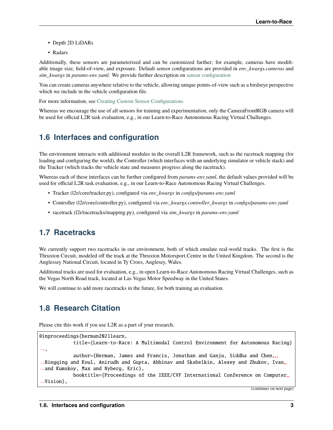- Depth 2D LiDARs
- Radars

Additionally, these sensors are parameterized and can be customized further; for example, cameras have modifiable image size, field-of-view, and exposure. Default sensor configurations are provided in *env\_kwargs.cameras* and *sim\_kwargs* in *params-env.yaml*. We provide further description on [sensor configuration](sensors.html#creating-custom-sensor-configurations)

You can create cameras anywhere relative to the vehicle, allowing unique points-of-view such as a birdseye perspective which we include in the vehicle configuration file.

For more information, see [Creating Custom Sensor Configurations](sensors.html#creating-custom-sensor-configurations)

Whereas we encourage the use of all sensors for training and experimentation, only the CameraFrontRGB camera will be used for official L2R task evaluation, e.g., in our Learn-to-Race Autonomous Racing Virtual Challenges.

## <span id="page-6-0"></span>**1.6 Interfaces and configuration**

The environment interacts with additional modules in the overall L2R framework, such as the racetrack mapping (for loading and configuring the world), the Controller (which interfaces with an underlying simulator or vehicle stack) and the Tracker (which tracks the vehicle state and measures progress along the racetrack).

Whereas each of these interfaces can be further configured from *params-env.yaml*, the default values provided will be used for official L2R task evaluation, e.g., in our Learn-to-Race Autonomous Racing Virtual Challenges.

- Tracker (l2r/core/tracker.py), configured via *env\_kwargs* in *configs/params-env.yaml*
- Controller (l2r/core/controller.py), configured via *env\_kwargs.controller\_kwargs* in *configs/params-env.yaml*
- racetrack (l2r/racetracks/mapping.py), configured via *sim\_kwargs* in *params-env.yaml*

## <span id="page-6-1"></span>**1.7 Racetracks**

We currently support two racetracks in our environment, both of which emulate real-world tracks. The first is the Thruxton Circuit, modeled off the track at the Thruxton Motorsport Centre in the United Kingdom. The second is the Anglessey National Circuit, located in Ty Croes, Anglesey, Wales.

Additional tracks are used for evaluation, e.g., in open Learn-to-Race Autonomous Racing Virtual Challenges, such as the Vegas North Road track, located at Las Vegas Motor Speedway in the United States.

We will continue to add more racetracks in the future, for both training an evaluation.

## <span id="page-6-2"></span>**1.8 Research Citation**

Please cite this work if you use L2R as a part of your research.

```
@inproceedings{herman2021learn,
            title={Learn-to-Race: A Multimodal Control Environment for Autonomous Racing}
\hookrightarrow,
            author={Herman, James and Francis, Jonathan and Ganju, Siddha and Chen,␣
˓→Bingqing and Koul, Anirudh and Gupta, Abhinav and Skabelkin, Alexey and Zhukov, Ivan␣
˓→and Kumskoy, Max and Nyberg, Eric},
            booktitle={Proceedings of the IEEE/CVF International Conference on Computer␣
˓→Vision},
```
(continues on next page)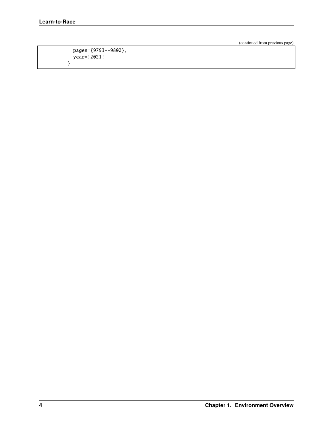}

(continued from previous page)

```
pages={9793--9802},
year={2021}
```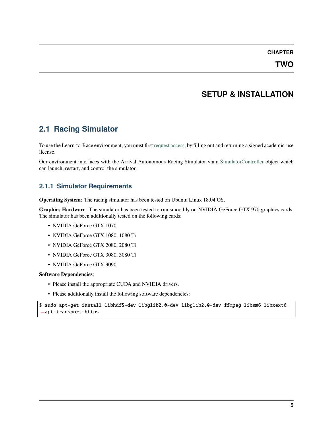**TWO**

## **SETUP & INSTALLATION**

## <span id="page-8-1"></span><span id="page-8-0"></span>**2.1 Racing Simulator**

To use the Learn-to-Race environment, you must first [request access,](https://learn-to-race.org/sim) by filling out and returning a signed academic-use license.

Our environment interfaces with the Arrival Autonomous Racing Simulator via a [SimulatorController](l2r.core.html#l2r.core.controller.SimulatorController) object which can launch, restart, and control the simulator.

#### **2.1.1 Simulator Requirements**

**Operating System**: The racing simulator has been tested on Ubuntu Linux 18.04 OS.

**Graphics Hardware**: The simulator has been tested to run smoothly on NVIDIA GeForce GTX 970 graphics cards. The simulator has been additionally tested on the following cards:

- NVIDIA GeForce GTX 1070
- NVIDIA GeForce GTX 1080, 1080 Ti
- NVIDIA GeForce GTX 2080, 2080 Ti
- NVIDIA GeForce GTX 3080, 3080 Ti
- NVIDIA GeForce GTX 3090

#### **Software Dependencies**:

- Please install the appropriate CUDA and NVIDIA drivers.
- Please additionally install the following software dependencies:

\$ sudo apt-get install libhdf5-dev libglib2.0-dev libglib2.0-dev ffmpeg libsm6 libxext6␣ ˓<sup>→</sup>apt-transport-https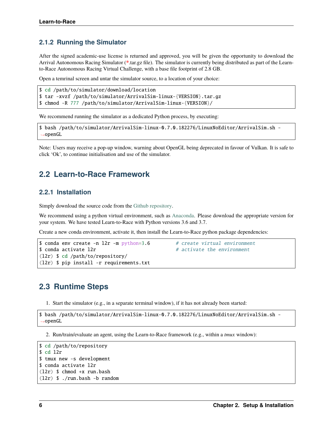#### **2.1.2 Running the Simulator**

After the signed academic-use license is returned and approved, you will be given the opportunity to download the Arrival Autonomous Racing Simulator (**\***.tar.gz file). The simulator is currently being distributed as part of the Learnto-Race Autonomous Racing Virtual Challenge, with a base file footprint of 2.8 GB.

Open a temrinal screen and untar the simulator source, to a location of your choice:

```
$ cd /path/to/simulator/download/location
$ tar -xvzf /path/to/simulator/ArrivalSim-linux-{VERSION}.tar.gz
$ chmod -R 777 /path/to/simulator/ArrivalSim-linux-{VERSION}/
```
We recommend running the simulator as a dedicated Python process, by executing:

```
$ bash /path/to/simulator/ArrivalSim-linux-0.7.0.182276/LinuxNoEditor/ArrivalSim.sh -
˓→openGL
```
Note: Users may receive a pop-up window, warning about OpenGL being deprecated in favour of Vulkan. It is safe to click 'Ok', to continue initialisation and use of the simulator.

### <span id="page-9-0"></span>**2.2 Learn-to-Race Framework**

#### **2.2.1 Installation**

Simply download the source code from the [Github repository.](https://github.com/hermgerm29/learn-to-race)

We recommend using a python virtual environment, such as [Anaconda.](https://www.anaconda.com/products/individual) Please download the appropriate version for your system. We have tested Learn-to-Race with Python versions 3.6 and 3.7.

Create a new conda environment, activate it, then install the Learn-to-Race python package dependencies:

```
$ conda env create -n 12r -m python=3.6 # create virtual environment
$ conda activate 12r <br># activate the environment
(l2r) $ cd /path/to/repository/
(l2r) $ pip install -r requirements.txt
```
### <span id="page-9-1"></span>**2.3 Runtime Steps**

1. Start the simulator (e.g., in a separate terminal window), if it has not already been started:

```
$ bash /path/to/simulator/ArrivalSim-linux-0.7.0.182276/LinuxNoEditor/ArrivalSim.sh -
˓→openGL
```
2. Run/train/evaluate an agent, using the Learn-to-Race framework (e.g., within a *tmux* window):

```
$ cd /path/to/repository
$ cd l2r
$ tmux new -s development
$ conda activate l2r
(l2r) $ chmod +x run.bash
(l2r) $ ./run.bash -b random
```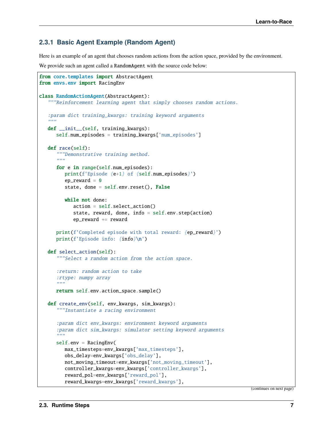#### **2.3.1 Basic Agent Example (Random Agent)**

Here is an example of an agent that chooses random actions from the action space, provided by the environment.

We provide such an agent called a RandomAgent with the source code below:

```
from core.templates import AbstractAgent
from envs.env import RacingEnv
class RandomActionAgent(AbstractAgent):
   """Reinforcement learning agent that simply chooses random actions.
   :param dict training_kwargs: training keyword arguments
   "''''"''"''"def __init__(self, training_kwargs):
      self.num_episodes = training_kwargs['num_episodes']
   def race(self):
      """Demonstrative training method.
      "'''"for e in range(self.num_episodes):
         print(f'Episode {e+1} of {self.num_episodes}')
         ep\_reward = 0state, done = self.env.reset(), False
         while not done:
            action = self.select_action()
            state, reward, done, info = self.environ)ep_{reward} += reward
      print(f'Completed episode with total reward: {ep_reward}')
      print(f'Episode info: {info}\n')
   def select_action(self):
      """Select a random action from the action space.
      :return: random action to take
      :rtype: numpy array
      """""
      return self.env.action_space.sample()
   def create_env(self, env_kwargs, sim_kwargs):
      """Instantiate a racing environment
      :param dict env_kwargs: environment keyword arguments
      :param dict sim_kwargs: simulator setting keyword arguments
      "''"self.env = RacingEnv(
         max_timesteps=env_kwargs['max_timesteps'],
         obs_delay=env_kwargs['obs_delay'],
         not_moving_timeout=env_kwargs['not_moving_timeout'],
         controller_kwargs=env_kwargs['controller_kwargs'],
         reward_pol=env_kwargs['reward_pol'],
         reward_kwargs=env_kwargs['reward_kwargs'],
```
(continues on next page)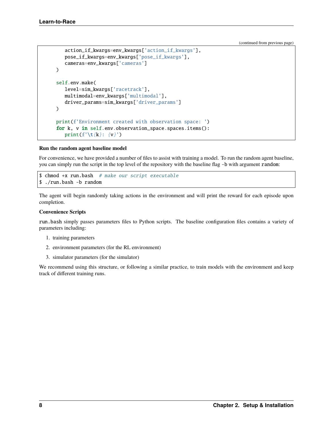(continued from previous page)

```
action_if_kwargs=env_kwargs['action_if_kwargs'],
   pose_if_kwargs=env_kwargs['pose_if_kwargs'],
   cameras=env_kwargs['cameras']
)
self.env.make(
   level=sim_kwargs['racetrack'],
   multimodal=env_kwargs['multimodal'],
   driver_params=sim_kwargs['driver_params']
\lambdaprint(f'Environment created with observation space: ')
for k, v in self.env.observation_space.spaces.items():
   print(f'\t{k}: \{v\}')
```
#### **Run the random agent baseline model**

For convenience, we have provided a number of files to assist with training a model. To run the random agent baseline, you can simply run the script in the top level of the repository with the baseline flag -b with argument random:

```
$ chmod +x run.bash # make our script executable
$ ./run.bash -b random
```
The agent will begin randomly taking actions in the environment and will print the reward for each episode upon completion.

#### **Convenience Scripts**

run.bash simply passes parameters files to Python scripts. The baseline configuration files contains a variety of parameters including:

- 1. training parameters
- 2. environment parameters (for the RL environment)
- 3. simulator parameters (for the simulator)

We recommend using this structure, or following a similar practice, to train models with the environment and keep track of different training runs.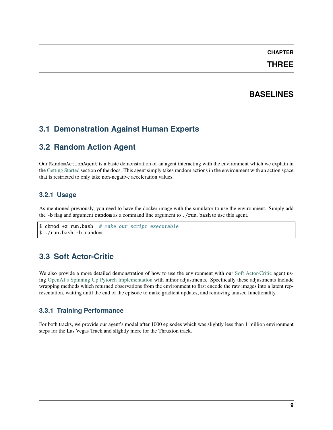**THREE**

### **BASELINES**

## <span id="page-12-1"></span><span id="page-12-0"></span>**3.1 Demonstration Against Human Experts**

## <span id="page-12-2"></span>**3.2 Random Action Agent**

Our RandomActionAgent is a basic demonstration of an agent interacting with the environment which we explain in the [Getting Started](getting_started.html#basic-example) section of the docs. This agent simply takes random actions in the environment with an action space that is restricted to only take non-negative acceleration values.

### **3.2.1 Usage**

As mentioned previously, you need to have the docker image with the simulator to use the environment. Simply add the -b flag and argument random as a command line argument to ./run.bash to use this agent.

```
$ chmod +x run.bash # make our script executable
$ ./run.bash -b random
```
## <span id="page-12-3"></span>**3.3 Soft Actor-Critic**

We also provide a more detailed demonstration of how to use the environment with our [Soft Actor-Critic](https://arxiv.org/abs/1801.01290v1) agent using [OpenAI's Spinning Up Pytorch implementation](https://spinningup.openai.com/en/latest/algorithms/sac.html#documentation-pytorch-version) with minor adjustments. Specifically these adjustments include wrapping methods which returned observations from the environment to first encode the raw images into a latent representation, waiting until the end of the episode to make gradient updates, and removing unused functionality.

### **3.3.1 Training Performance**

For both tracks, we provide our agent's model after 1000 episodes which was slightly less than 1 million environment steps for the Las Vegas Track and slightly more for the Thruxton track.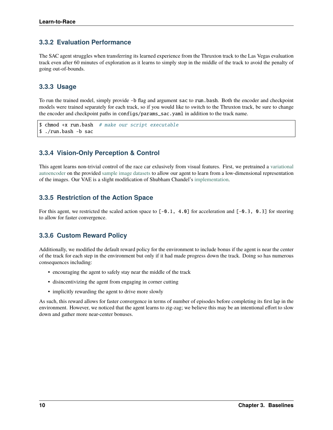### **3.3.2 Evaluation Performance**

The SAC agent struggles when transferring its learned experience from the Thruxton track to the Las Vegas evaluation track even after 60 minutes of exploration as it learns to simply stop in the middle of the track to avoid the penalty of going out-of-bounds.

#### **3.3.3 Usage**

To run the trained model, simply provide -b flag and argument sac to run.bash. Both the encoder and checkpoint models were trained separately for each track, so if you would like to switch to the Thruxton track, be sure to change the encoder and checkpoint paths in configs/params\_sac.yaml in addition to the track name.

```
$ chmod +x run.bash # make our script executable
$ ./run.bash -b sac
```
### **3.3.4 Vision-Only Perception & Control**

This agent learns non-trivial control of the race car exlusively from visual features. First, we pretrained a [variational](https://arxiv.org/abs/1312.6114v10) [autoencoder](https://arxiv.org/abs/1312.6114v10) on the provided [sample image datasets](racetracks.html#sample-image-datasets) to allow our agent to learn from a low-dimensional representation of the images. Our VAE is a slight modification of Shubham Chandel's [implementation.](https://github.com/sksq96/pytorch-vae)

#### **3.3.5 Restriction of the Action Space**

For this agent, we restricted the scaled action space to  $[-0.1, 4.0]$  for acceleration and  $[-0.3, 0.3]$  for steering to allow for faster convergence.

### **3.3.6 Custom Reward Policy**

Additionally, we modified the default reward policy for the environment to include bonus if the agent is near the center of the track for each step in the environment but only if it had made progress down the track. Doing so has numerous consequences including:

- encouraging the agent to safely stay near the middle of the track
- disincentivizing the agent from engaging in corner cutting
- implicitly rewarding the agent to drive more slowly

As such, this reward allows for faster convergence in terms of number of episodes before completing its first lap in the environment. However, we noticed that the agent learns to zig-zag; we believe this may be an intentional effort to slow down and gather more near-center bonuses.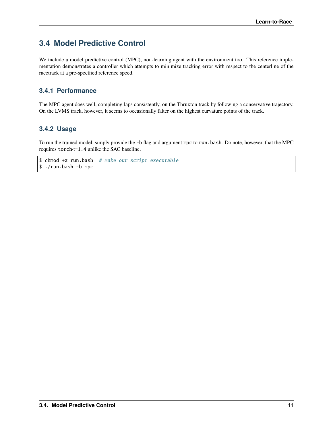# <span id="page-14-0"></span>**3.4 Model Predictive Control**

We include a model predictive control (MPC), non-learning agent with the environment too. This reference implementation demonstrates a controller which attempts to minimize tracking error with respect to the centerline of the racetrack at a pre-specified reference speed.

### **3.4.1 Performance**

The MPC agent does well, completing laps consistently, on the Thruxton track by following a conservative trajectory. On the LVMS track, however, it seems to occasionally falter on the highest curvature points of the track.

### **3.4.2 Usage**

To run the trained model, simply provide the -b flag and argument mpc to run.bash. Do note, however, that the MPC requires torch<=1.4 unlike the SAC baseline.

```
$ chmod +x run.bash # make our script executable
$ ./run.bash -b mpc
```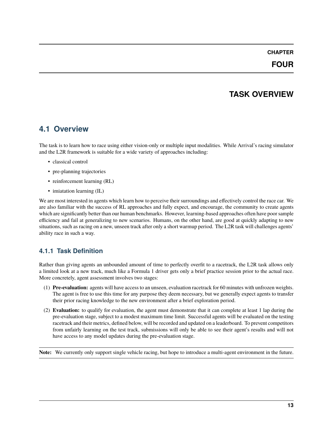### **FOUR**

# **TASK OVERVIEW**

## <span id="page-16-1"></span><span id="page-16-0"></span>**4.1 Overview**

The task is to learn how to race using either vision-only or multiple input modalities. While Arrival's racing simulator and the L2R framework is suitable for a wide variety of approaches including:

- classical control
- pre-planning trajectories
- reinforcement learning (RL)
- imiatation learning (IL)

We are most interested in agents which learn how to perceive their surroundings and effectively control the race car. We are also familiar with the success of RL approaches and fully expect, and encourage, the community to create agents which are significantly better than our human benchmarks. However, learning-based approaches often have poor sample efficiency and fail at generalizing to new scenarios. Humans, on the other hand, are good at quickly adapting to new situations, such as racing on a new, unseen track after only a short warmup period. The L2R task will challenges agents' ability race in such a way.

### **4.1.1 Task Definition**

Rather than giving agents an unbounded amount of time to perfectly overfit to a racetrack, the L2R task allows only a limited look at a new track, much like a Formula 1 driver gets only a brief practice session prior to the actual race. More concretely, agent assessment involves two stages:

- (1) **Pre-evaluation:** agents will have access to an unseen, evaluation racetrack for 60 minutes with unfrozen weights. The agent is free to use this time for any purpose they deem necessary, but we generally expect agents to transfer their prior racing knowledge to the new environment after a brief exploration period.
- (2) **Evaluation:** to qualify for evaluation, the agent must demonstrate that it can complete at least 1 lap during the pre-evaluation stage, subject to a modest maximum time limit. Successful agents will be evaluated on the testing racetrack and their metrics, defined below, will be recorded and updated on a leaderboard. To prevent competitors from unfairly learning on the test track, submissions will only be able to see their agent's results and will not have access to any model updates during the pre-evaluation stage.

**Note:** We currently only support single vehicle racing, but hope to introduce a multi-agent environment in the future.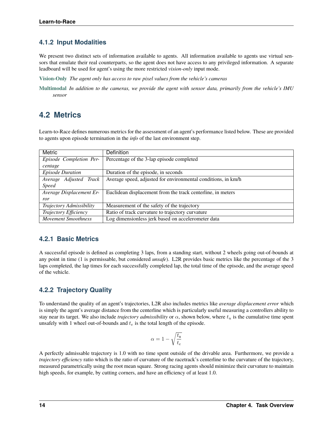### **4.1.2 Input Modalities**

We present two distinct sets of information available to agents. All information available to agents use virtual sensors that emulate their real counterparts, so the agent does not have access to any privileged information. A separate leadboard will be used for agent's using the more restricted *vision-only* input mode.

**[Vision-Only](vision.html)** *The agent only has access to raw pixel values from the vehicle's cameras*

**[Multimodal](multimodal.html)** *In addition to the cameras, we provide the agent with sensor data, primarily from the vehicle's IMU sensor*

## <span id="page-17-0"></span>**4.2 Metrics**

Learn-to-Race defines numerous metrics for the assessment of an agent's performance listed below. These are provided to agents upon episode termination in the *info* of the last environment step.

| Metric                   | <b>Definition</b>                                             |
|--------------------------|---------------------------------------------------------------|
| Episode Completion Per-  | Percentage of the 3-lap episode completed                     |
| centage                  |                                                               |
| <b>Episode Duration</b>  | Duration of the episode, in seconds                           |
| Average Adjusted Track   | Average speed, adjusted for environmental conditions, in km/h |
| <b>Speed</b>             |                                                               |
| Average Displacement Er- | Euclidean displacement from the track centerline, in meters   |
| ror                      |                                                               |
| Trajectory Admissibility | Measurement of the safety of the trajectory                   |
| Trajectory Efficiency    | Ratio of track curvature to trajectory curvature              |
| Movement Smoothness      | Log dimensionless jerk based on accelerometer data            |

#### **4.2.1 Basic Metrics**

A successful episode is defined as completing 3 laps, from a standing start, without 2 wheels going out-of-bounds at any point in time (1 is permissable, but considered *unsafe*). L2R provides basic metrics like the percentage of the 3 laps completed, the lap times for each successfully completed lap, the total time of the episode, and the average speed of the vehicle.

### **4.2.2 Trajectory Quality**

To understand the quality of an agent's trajectories, L2R also includes metrics like *average displacement error* which is simply the agent's average distance from the centerline which is particularly useful measuring a controllers ability to stay near its target. We also include *trajectory admissibility* or  $\alpha$ , shown below, where  $t_u$  is the cumulative time spent unsafely with 1 wheel out-of-bounds and  $t_e$  is the total length of the episode.

$$
\alpha = 1 - \sqrt{\frac{t_{\rm u}}{t_e}}
$$

A perfectly admissable trajectory is 1.0 with no time spent outside of the drivable area. Furthermore, we provide a *trajectory efficiency* ratio which is the ratio of curvature of the racetrack's centerline to the curvature of the trajectory, measured parametrically using the root mean square. Strong racing agents should minimize their curvature to maintain high speeds, for example, by cutting corners, and have an efficiency of at least 1.0.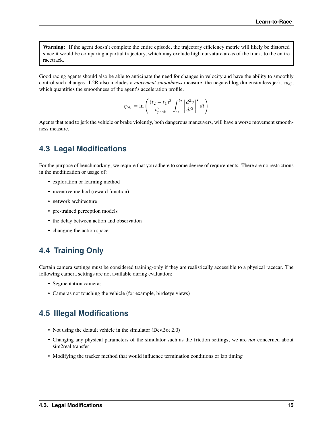**Warning:** If the agent doesn't complete the entire episode, the trajectory efficiency metric will likely be distorted since it would be comparing a partial trajectory, which may exclude high curvature areas of the track, to the entire racetrack.

Good racing agents should also be able to anticipate the need for changes in velocity and have the ability to smoothly control such changes. L2R also includes a *movement smoothness* measure, the negated log dimensionless jerk,  $\eta_{ldi}$ , which quantifies the smoothness of the agent's acceleration profile.

$$
\eta_{ldj} = \ln \left( \frac{(t_2 - t_1)^3}{v_{peak}^2} \int_{t_1}^{t_2} \left| \frac{d^2 v}{dt^2} \right|^2 dt \right)
$$

Agents that tend to jerk the vehicle or brake violently, both dangerous maneuvers, will have a worse movement smoothness measure.

## <span id="page-18-0"></span>**4.3 Legal Modifications**

For the purpose of benchmarking, we require that you adhere to some degree of requirements. There are no restrictions in the modification or usage of:

- exploration or learning method
- incentive method (reward function)
- network architecture
- pre-trained perception models
- the delay between action and observation
- changing the action space

# <span id="page-18-1"></span>**4.4 Training Only**

Certain camera settings must be considered training-only if they are realistically accessible to a physical racecar. The following camera settings are not available during evaluation:

- Segmentation cameras
- Cameras not touching the vehicle (for example, birdseye views)

## <span id="page-18-2"></span>**4.5 Illegal Modifications**

- Not using the default vehicle in the simulator (DevBot 2.0)
- Changing any physical parameters of the simulator such as the friction settings; we are *not* concerned about sim2real transfer
- Modifying the tracker method that would influence termination conditions or lap timing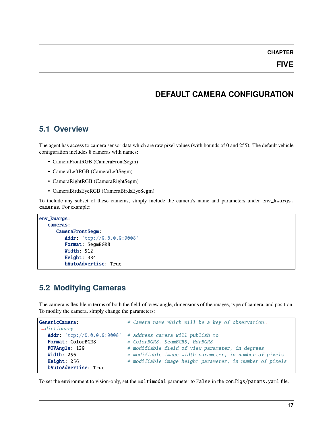## **DEFAULT CAMERA CONFIGURATION**

### <span id="page-20-1"></span><span id="page-20-0"></span>**5.1 Overview**

The agent has access to camera sensor data which are raw pixel values (with bounds of 0 and 255). The default vehicle configuration includes 8 cameras with names:

- CameraFrontRGB (CameraFrontSegm)
- CameraLeftRGB (CameraLeftSegm)
- CameraRightRGB (CameraRightSegm)
- CameraBirdsEyeRGB (CameraBirdsEyeSegm)

To include any subset of these cameras, simply include the camera's name and parameters under env\_kwargs. cameras. For example:

```
env_kwargs:
   cameras:
      CameraFrontSegm:
         Addr: 'tcp://0.0.0.0:9008'
         Format: SegmBGR8
         Width: 512
         Height: 384
         bAutoAdvertise: True
```
## <span id="page-20-2"></span>**5.2 Modifying Cameras**

The camera is flexible in terms of both the field-of-view angle, dimensions of the images, type of camera, and position. To modify the camera, simply change the parameters:

```
GenericCamera: \# Camera name which will be a key of observation
˓→dictionary
  Addr: 'tcp://0.0.0.0:9008' # Address camera will publish to
  Format: ColorBGR8 # ColorBGR8, SegmBGR8, HdrBGR8
  FOVAngle: 120 # modifiable field of view parameter, in degrees
  Width: 256 # modifiable image width parameter, in number of pixels
  Height: 256 # modifiable image height parameter, in number of pixels
  bAutoAdvertise: True
```
To set the environment to vision-only, set the multimodal parameter to False in the configs/params.yaml file.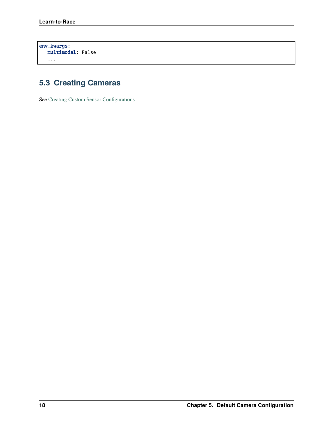env\_kwargs: multimodal: False ...

# <span id="page-21-0"></span>**5.3 Creating Cameras**

See [Creating Custom Sensor Configurations](sensors.html)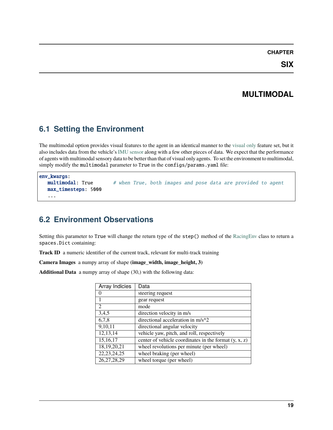# **MULTIMODAL**

# <span id="page-22-1"></span><span id="page-22-0"></span>**6.1 Setting the Environment**

The multimodal option provides visual features to the agent in an identical manner to the [visual only](vision.html) feature set, but it also includes data from the vehicle's [IMU sensor](https://en.wikipedia.org/wiki/Inertial_measurement_unit) along with a few other pieces of data. We expect that the performance of agents with multimodal sensory data to be better than that of visual only agents. To set the environment to multimodal, simply modify the multimodal parameter to True in the configs/params.yaml file:

```
env_kwargs:
  multimodal: True # when True, both images and pose data are provided to agent
  max_timesteps: 5000
   ...
```
# <span id="page-22-2"></span>**6.2 Environment Observations**

Setting this parameter to True will change the return type of the step() method of the [RacingEnv](l2r.envs.html#module-roboracer.envs.env) class to return a spaces.Dict containing:

**Track ID** a numeric identifier of the current track, relevant for multi-track training

**Camera Images** a numpy array of shape **(image\_width, image\_height, 3)**

**Additional Data** a numpy array of shape (30,) with the following data:

| Array Indicies | Data                                                    |
|----------------|---------------------------------------------------------|
|                | steering request                                        |
|                | gear request                                            |
| $\mathfrak{D}$ | mode                                                    |
| 3,4,5          | direction velocity in m/s                               |
| 6,7,8          | directional acceleration in $m/s^2$                     |
| 9,10,11        | directional angular velocity                            |
| 12,13,14       | vehicle yaw, pitch, and roll, respectively              |
| 15,16,17       | center of vehicle coordinates in the format $(y, x, z)$ |
| 18, 19, 20, 21 | wheel revolutions per minute (per wheel)                |
| 22, 23, 24, 25 | wheel braking (per wheel)                               |
| 26, 27, 28, 29 | wheel torque (per wheel)                                |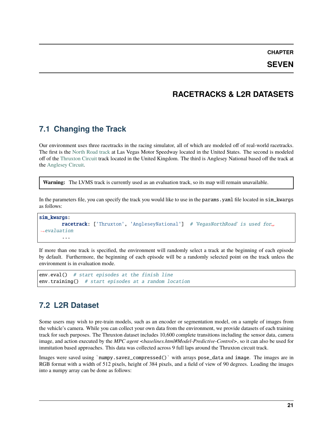**SEVEN**

### **RACETRACKS & L2R DATASETS**

## <span id="page-24-1"></span><span id="page-24-0"></span>**7.1 Changing the Track**

Our environment uses three racetracks in the racing simulator, all of which are modeled off of real-world racetracks. The first is the [North Road track](https://www.lvms.com/business/track-rentals/#images-6) at Las Vegas Motor Speedway located in the United States. The second is modeled off of the [Thruxton Circuit](https://en.wikipedia.org/wiki/Thruxton_Circuit) track located in the United Kingdom. The third is Anglesey National based off the track at the [Anglesey Circuit.](https://www.angleseycircuit.com/venue/circuit-configurations/national/)

**Warning:** The LVMS track is currently used as an evaluation track, so its map will remain unavailable.

In the parameters file, you can specify the track you would like to use in the params.yaml file located in sim\_kwargs as follows:

#### sim\_kwargs: racetrack: ['Thruxton', 'AngleseyNational'] # 'VegasNorthRoad' is used for.  $\rightarrow$ evaluation ...

If more than one track is specified, the environment will randomly select a track at the beginning of each episode by default. Furthermore, the beginning of each episode will be a randomly selected point on the track unless the environment is in evaluation mode.

```
env.eval() # start episodes at the finish line
env.training() # start episodes at a random location
```
## <span id="page-24-2"></span>**7.2 L2R Dataset**

Some users may wish to pre-train models, such as an encoder or segmentation model, on a sample of images from the vehicle's camera. While you can collect your own data from the environment, we provide datasets of each training track for such purposes. The Thruxton dataset includes 10,600 complete transitions including the sensor data, camera image, and action executed by the *MPC agent <br/>baselines.html#Model-Predictive-Control*>, so it can also be used for immitation based approaches. This data was collected across 9 full laps around the Thruxton circuit track.

Images were saved using `numpy.savez\_compressed()` with arrays pose\_data and image. The images are in RGB format with a width of 512 pixels, height of 384 pixels, and a field of view of 90 degrees. Loading the images into a numpy array can be done as follows: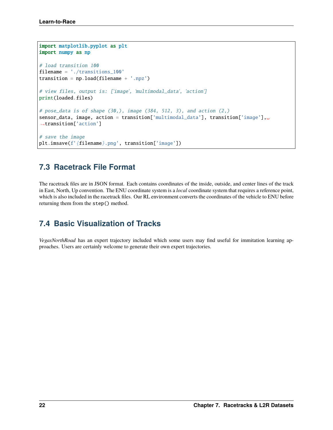```
import matplotlib.pyplot as plt
import numpy as np
# load transition 100
filename = './transitions_100'
transition = np.load(filename + '.npz')# view files, output is: ['image', 'multimodal_data', 'action']
print(loaded.files)
# pose_data is of shape (30,), image (384, 512, 3), and action (2,)sensor_data, image, action = transition['multimodal_data'], transition['image'],
˓→transition['action']
# save the image
plt.imsave(f'{filename}.png', transition['image'])
```
## <span id="page-25-0"></span>**7.3 Racetrack File Format**

The racetrack files are in JSON format. Each contains coordinates of the inside, outside, and center lines of the track in East, North, Up convention. The ENU coordinate system is a *local* coordinate system that requires a reference point, which is also included in the racetrack files. Our RL environment converts the coordinates of the vehicle to ENU before returning them from the step() method.

## <span id="page-25-1"></span>**7.4 Basic Visualization of Tracks**

*VegasNorthRoad* has an expert trajectory included which some users may find useful for immitation learning approaches. Users are certainly welcome to generate their own expert trajectories.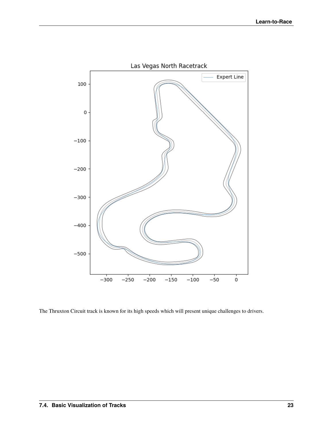

The Thruxton Circuit track is known for its high speeds which will present unique challenges to drivers.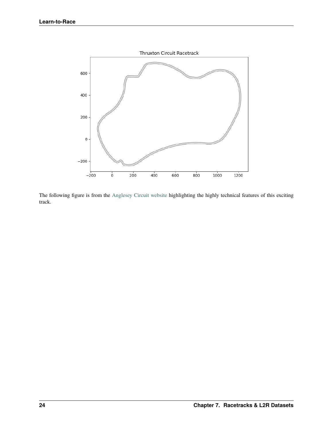

The following figure is from the [Anglesey Circuit website](https://www.angleseycircuit.com/venue/circuit-configurations/national/) highlighting the highly technical features of this exciting track.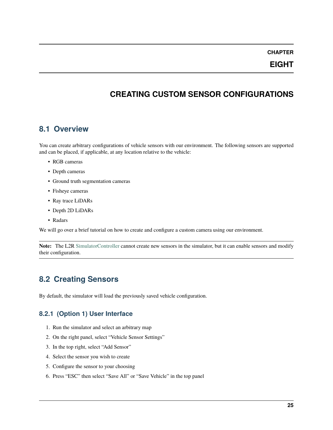**EIGHT**

## **CREATING CUSTOM SENSOR CONFIGURATIONS**

### <span id="page-28-1"></span><span id="page-28-0"></span>**8.1 Overview**

You can create arbitrary configurations of vehicle sensors with our environment. The following sensors are supported and can be placed, if applicable, at any location relative to the vehicle:

- RGB cameras
- Depth cameras
- Ground truth segmentation cameras
- Fisheye cameras
- Ray trace LiDARs
- Depth 2D LiDARs
- Radars

We will go over a brief tutorial on how to create and configure a custom camera using our environment.

**Note:** The L2R [SimulatorController](l2r.core.html#l2r.core.controller.SimulatorController) cannot create new sensors in the simulator, but it can enable sensors and modify their configuration.

## <span id="page-28-2"></span>**8.2 Creating Sensors**

By default, the simulator will load the previously saved vehicle configuration.

### **8.2.1 (Option 1) User Interface**

- 1. Run the simulator and select an arbitrary map
- 2. On the right panel, select "Vehicle Sensor Settings"
- 3. In the top right, select "Add Sensor"
- 4. Select the sensor you wish to create
- 5. Configure the sensor to your choosing
- 6. Press "ESC" then select "Save All" or "Save Vehicle" in the top panel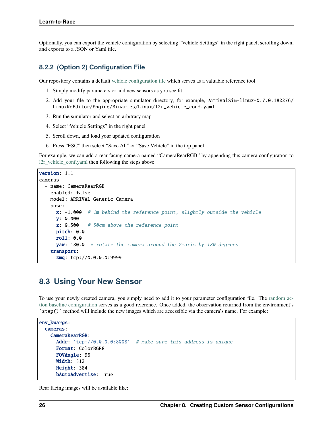Optionally, you can export the vehicle configuration by selecting "Vehicle Settings" in the right panel, scrolling down, and exports to a JSON or Yaml file.

#### **8.2.2 (Option 2) Configuration File**

Our repository contains a default [vehicle configuration file](https://github.com/hermgerm29/learn-to-race/blob/main/l2r/configs/l2r_vehicle_conf.yaml) which serves as a valuable reference tool.

- 1. Simply modify parameters or add new sensors as you see fit
- 2. Add your file to the appropriate simulator directory, for example, ArrivalSim-linux-0.7.0.182276/ LinuxNoEditor/Engine/Binaries/Linux/l2r\_vehicle\_conf.yaml
- 3. Run the simulator and select an arbitrary map
- 4. Select "Vehicle Settings" in the right panel
- 5. Scroll down, and load your updated configuration
- 6. Press "ESC" then select "Save All" or "Save Vehicle" in the top panel

For example, we can add a rear facing camera named "CameraRearRGB" by appending this camera configuration to [l2r\\_vehicle\\_conf.yaml](https://github.com/hermgerm29/learn-to-race/blob/main/l2r/configs/l2r_vehicle_conf.yaml) then following the steps above.

```
version: 1.1
cameras
  - name: CameraRearRGB
    enabled: false
    model: ARRIVAL Generic Camera
    pose:
      x: -1.000 # 1m behind the reference point, slightly outside the vehicle
      y: 0.000
      \mathsf{z}: \ \mathsf{0.500} \quad \# \ \text{50cm} above the reference point
      pitch: 0.0
      roll: 0.0
      yaw: 180.0 # rotate the camera around the Z-axis by 180 degrees
    transport:
      zmq: tcp://0.0.0.0:9999
```
### <span id="page-29-0"></span>**8.3 Using Your New Sensor**

To use your newly created camera, you simply need to add it to your parameter configuration file. The [random ac](https://github.com/hermgerm29/learn-to-race/blob/main/l2r/configs/params_random.yaml)[tion baseline configuration](https://github.com/hermgerm29/learn-to-race/blob/main/l2r/configs/params_random.yaml) serves as a good reference. Once added, the observation returned from the environment's `step()` method will include the new images which are accessible via the camera's name. For example:

```
env_kwargs:
 cameras:
   CameraRearRGB:
     Addr: 'tcp://0.0.0.0:8008' # make sure this address is unique
     Format: ColorBGR8
     FOVAngle: 90
      Width: 512
     Height: 384
      bAutoAdvertise: True
```
Rear facing images will be available like: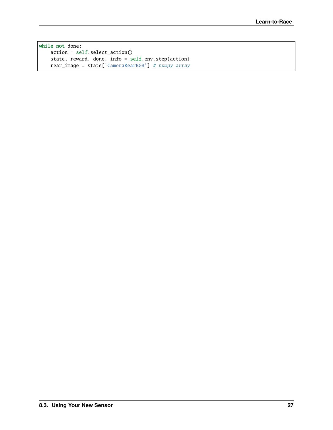while not done: action = self.select\_action() state, reward, done, info = self.env.step(action) rear\_image = state['CameraRearRGB'] # numpy array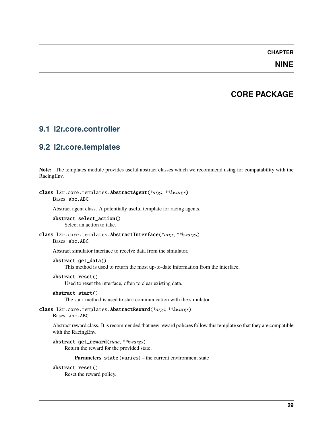### **NINE**

## **CORE PACKAGE**

### <span id="page-32-4"></span><span id="page-32-1"></span><span id="page-32-0"></span>**9.1 l2r.core.controller**

### <span id="page-32-2"></span>**9.2 l2r.core.templates**

**Note:** The templates module provides useful abstract classes which we recommend using for compatability with the RacingEnv.

#### <span id="page-32-3"></span>class l2r.core.templates.AbstractAgent(*\*args*, *\*\*kwargs*)

Bases: abc.ABC

Abstract agent class. A potentially useful template for racing agents.

#### abstract select\_action() Select an action to take.

#### class l2r.core.templates.AbstractInterface(*\*args*, *\*\*kwargs*) Bases: abc.ABC

Abstract simulator interface to receive data from the simulator.

#### abstract get\_data()

This method is used to return the most up-to-date information from the interface.

#### abstract reset()

Used to reset the interface, often to clear existing data.

#### abstract start()

The start method is used to start communication with the simulator.

#### class l2r.core.templates.AbstractReward(*\*args*, *\*\*kwargs*) Bases: abc.ABC

Abstract reward class. It is recommended that new reward policies follow this template so that they are compatible with the RacingEnv.

#### abstract get\_reward(*state*, *\*\*kwargs*)

Return the reward for the provided state.

#### Parameters state (varies) – the current environment state

#### abstract reset()

Reset the reward policy.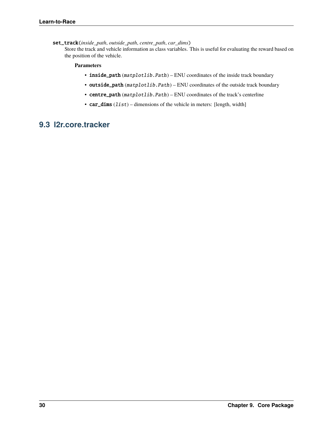set\_track(*inside\_path*, *outside\_path*, *centre\_path*, *car\_dims*)

Store the track and vehicle information as class variables. This is useful for evaluating the reward based on the position of the vehicle.

#### **Parameters**

- inside\_path (matplotlib.Path) ENU coordinates of the inside track boundary
- outside\_path (matplotlib.Path) ENU coordinates of the outside track boundary
- centre\_path (matplotlib.Path) ENU coordinates of the track's centerline
- car\_dims (list) dimensions of the vehicle in meters: [length, width]

## <span id="page-33-0"></span>**9.3 l2r.core.tracker**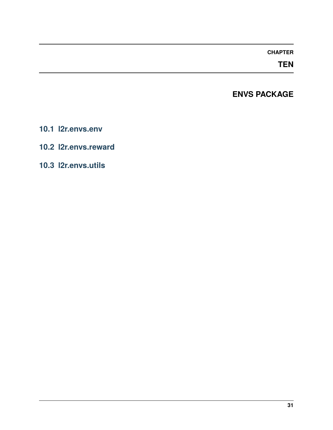## **TEN**

# **ENVS PACKAGE**

- <span id="page-34-1"></span><span id="page-34-0"></span>**10.1 l2r.envs.env**
- <span id="page-34-2"></span>**10.2 l2r.envs.reward**
- <span id="page-34-3"></span>**10.3 l2r.envs.utils**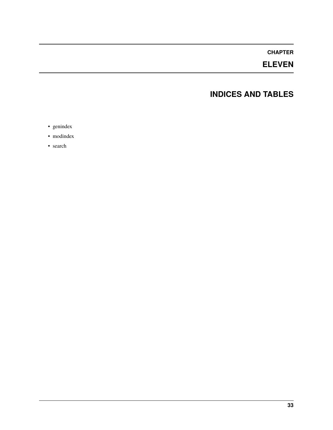# **ELEVEN**

## **INDICES AND TABLES**

- <span id="page-36-0"></span>• genindex
- modindex
- search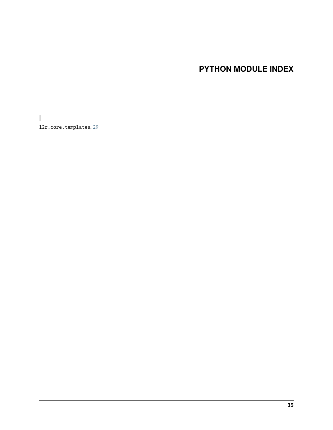# **PYTHON MODULE INDEX**

<span id="page-38-0"></span>l l2r.core.templates, [29](#page-32-3)